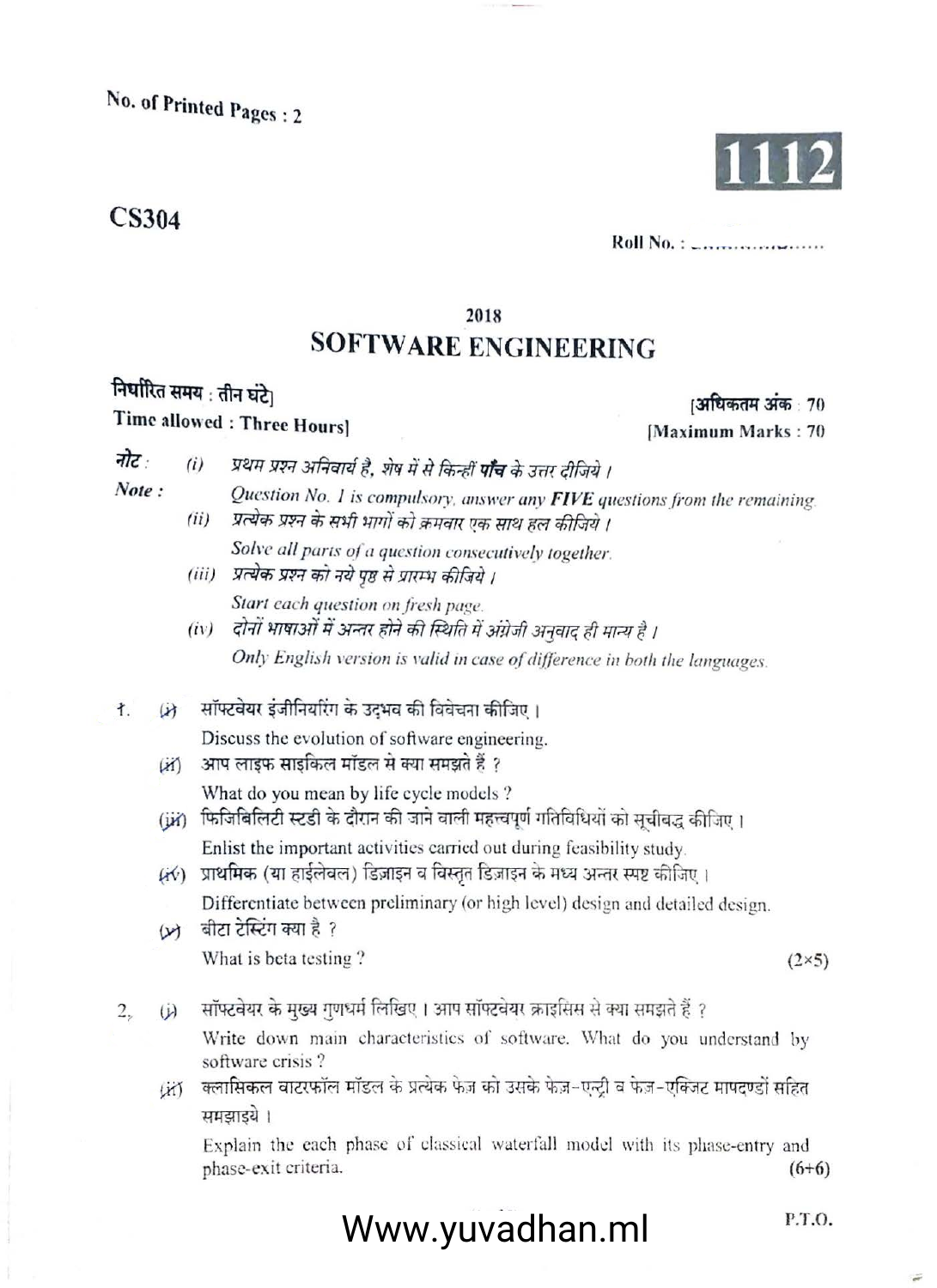No. of Printed Pages: 2

## **CS304**



Roll No. :  $\mathcal{L}_{\text{min}}$ 

## **SOFTWARE ENGINEERING**

2018

## निर्धारित समय : तीन घंटे।

Time allowed : Three Hours]

- नोट प्रथम प्रश्न अनिवार्य है, शेष में से किन्हीं **पाँच** के उत्तर दीजिये ।  $(i)$ 
	- Question No. 1 is compulsory, answer any FIVE questions from the remaining. प्रत्येक प्रश्न के सभी भागों को क्रमवार एक साथ हल कीजिये।  $(ii)$

Solve all parts of a question consecutively together.

- (iii) प्रत्येक प्रश्न को नये पृष्ठ से प्रारम्भ कीजिये । Start each question on fresh page.
- (iv) दोनों भाषाओं में अन्तर होने की स्थिति में अंग्रेजी अनुवाद ही मान्य है । Only English version is valid in case of difference in both the languages.
- सॉफ्टवेयर इंजीनियरिंग के उदभव की विवेचना कीजिए। ł.  $(x)$

Discuss the evolution of software engineering.

- आप लाइफ साइकिल मॉडल से क्या समझते हैं ?  $(31)$ What do you mean by life cycle models ?
- (iii) फिजिबिलिटी स्टडी के दौरान की जाने वाली महत्त्वपूर्ण गतिविधियों को सूचीबद्ध कीजिए । Enlist the important activities carried out during feasibility study.
- (4⁄) प्राथमिक (या हाईलेवल) डिज़ाइन व विस्तृत डिज़ाइन के मध्य अन्तर स्पष्ट कीजिए । Differentiate between preliminary (or high level) design and detailed design.
- बीटा टेस्टिंग क्या है ?  $(v)$

What is beta testing?

 $(2\times5)$ 

P.T.O.

सॉफ्टवेयर के मुख्य गुणधर्म लिखिए। आप सॉफ्टवेयर क्राइसिस से क्या समझते हैं ?  $2,$  $\ddot{\omega}$ 

> Write down main characteristics of software. What do you understand by software crisis?

क्लासिकल वाटरफॉल मॉडल के प्रत्येक फेज़ को उसके फेज़-एन्ट्री व फेज़-एक्ज़िट मापदण्डों सहित List समझाडये ।

Explain the each phase of classical waterfall model with its phase-entry and phase-exit criteria.  $(6+6)$ 

Www.yuvadhan.ml

।अधिकतम अंक : 70 [Maximum Marks: 70

Note: